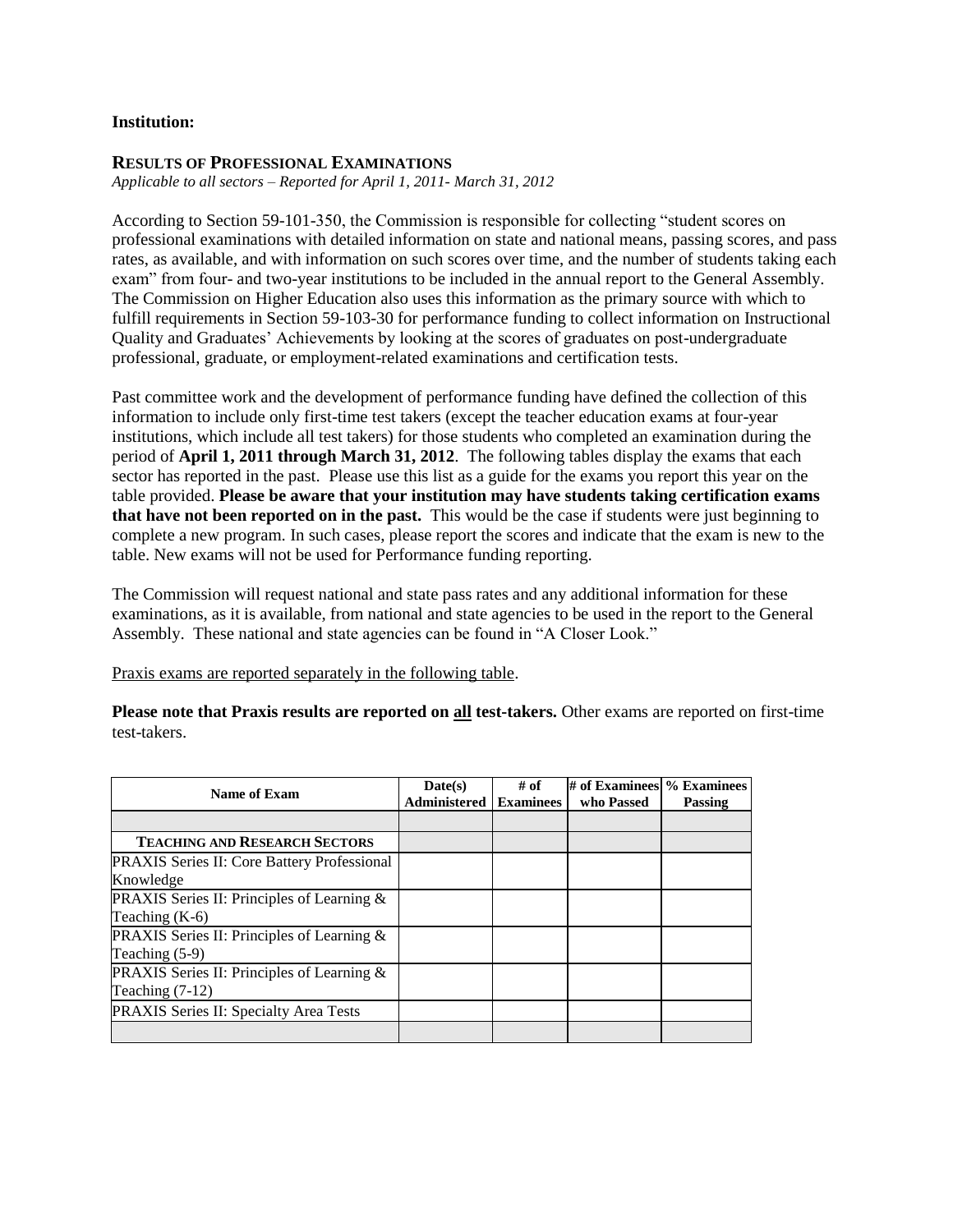## **Institution:**

## **RESULTS OF PROFESSIONAL EXAMINATIONS**

*Applicable to all sectors – Reported for April 1, 2011- March 31, 2012*

According to Section 59-101-350, the Commission is responsible for collecting "student scores on professional examinations with detailed information on state and national means, passing scores, and pass rates, as available, and with information on such scores over time, and the number of students taking each exam" from four- and two-year institutions to be included in the annual report to the General Assembly. The Commission on Higher Education also uses this information as the primary source with which to fulfill requirements in Section 59-103-30 for performance funding to collect information on Instructional Quality and Graduates' Achievements by looking at the scores of graduates on post-undergraduate professional, graduate, or employment-related examinations and certification tests.

Past committee work and the development of performance funding have defined the collection of this information to include only first-time test takers (except the teacher education exams at four-year institutions, which include all test takers) for those students who completed an examination during the period of **April 1, 2011 through March 31, 2012**. The following tables display the exams that each sector has reported in the past. Please use this list as a guide for the exams you report this year on the table provided. **Please be aware that your institution may have students taking certification exams that have not been reported on in the past.** This would be the case if students were just beginning to complete a new program. In such cases, please report the scores and indicate that the exam is new to the table. New exams will not be used for Performance funding reporting.

The Commission will request national and state pass rates and any additional information for these examinations, as it is available, from national and state agencies to be used in the report to the General Assembly. These national and state agencies can be found in "A Closer Look."

Praxis exams are reported separately in the following table.

**Please note that Praxis results are reported on all test-takers.** Other exams are reported on first-time test-takers.

| Name of Exam                                       | Date(s)      | # of             | $\#$ of Examinees $\%$ Examinees |         |
|----------------------------------------------------|--------------|------------------|----------------------------------|---------|
|                                                    | Administered | <b>Examinees</b> | who Passed                       | Passing |
|                                                    |              |                  |                                  |         |
| <b>TEACHING AND RESEARCH SECTORS</b>               |              |                  |                                  |         |
| <b>PRAXIS</b> Series II: Core Battery Professional |              |                  |                                  |         |
| Knowledge                                          |              |                  |                                  |         |
| PRAXIS Series II: Principles of Learning &         |              |                  |                                  |         |
| Teaching $(K-6)$                                   |              |                  |                                  |         |
| PRAXIS Series II: Principles of Learning &         |              |                  |                                  |         |
| Teaching $(5-9)$                                   |              |                  |                                  |         |
| PRAXIS Series II: Principles of Learning &         |              |                  |                                  |         |
| Teaching $(7-12)$                                  |              |                  |                                  |         |
| PRAXIS Series II: Specialty Area Tests             |              |                  |                                  |         |
|                                                    |              |                  |                                  |         |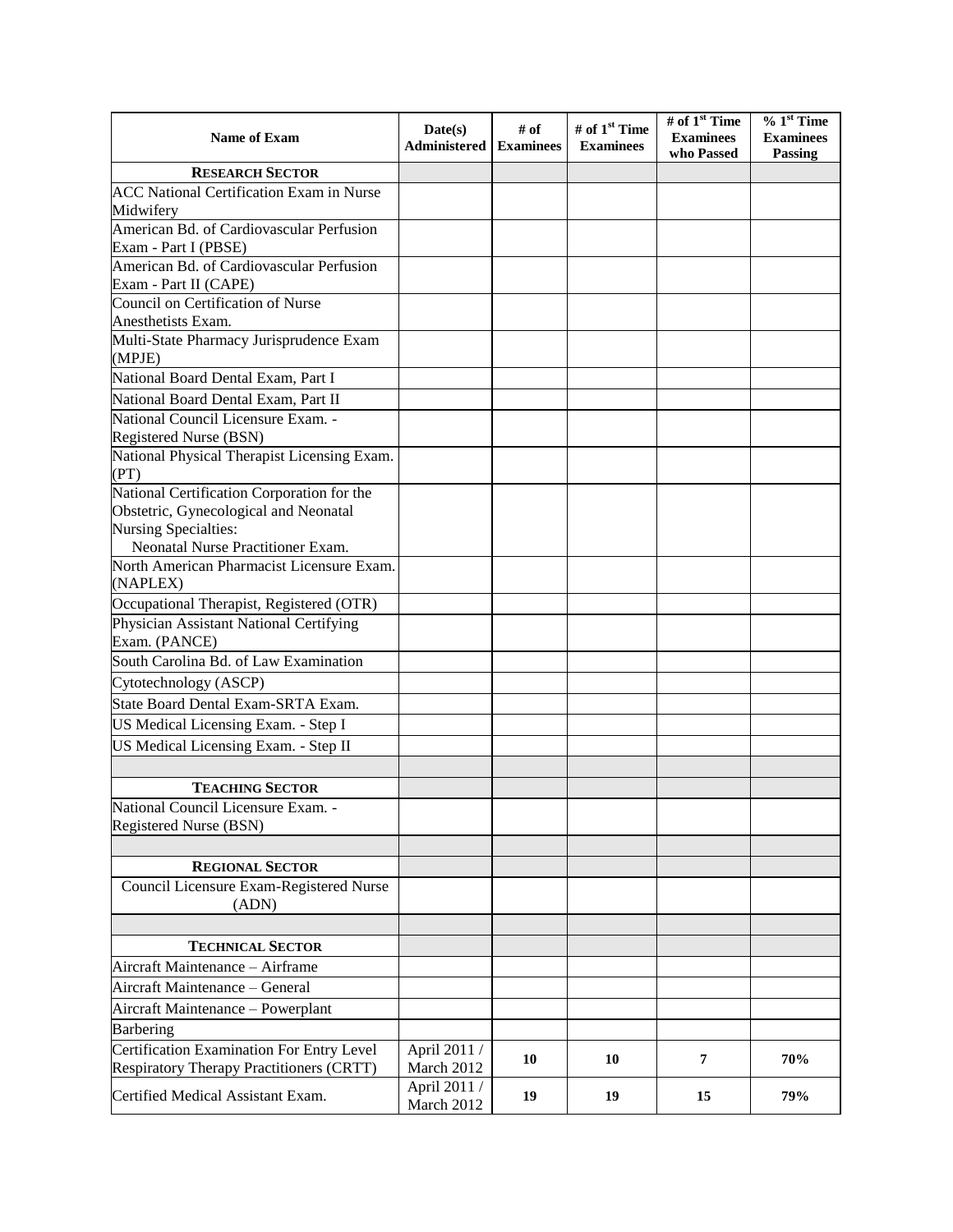| Name of Exam                                                      | Date(s)<br>Administered    | # of<br><b>Examinees</b> | # of 1 <sup>st</sup> Time<br><b>Examinees</b> | # of 1 <sup>st</sup> Time<br><b>Examinees</b><br>who Passed | $% 1st$ Time<br><b>Examinees</b><br>Passing |
|-------------------------------------------------------------------|----------------------------|--------------------------|-----------------------------------------------|-------------------------------------------------------------|---------------------------------------------|
| <b>RESEARCH SECTOR</b>                                            |                            |                          |                                               |                                                             |                                             |
| <b>ACC National Certification Exam in Nurse</b>                   |                            |                          |                                               |                                                             |                                             |
| Midwifery                                                         |                            |                          |                                               |                                                             |                                             |
| American Bd. of Cardiovascular Perfusion                          |                            |                          |                                               |                                                             |                                             |
| Exam - Part I (PBSE)                                              |                            |                          |                                               |                                                             |                                             |
| American Bd. of Cardiovascular Perfusion<br>Exam - Part II (CAPE) |                            |                          |                                               |                                                             |                                             |
| Council on Certification of Nurse<br>Anesthetists Exam.           |                            |                          |                                               |                                                             |                                             |
| Multi-State Pharmacy Jurisprudence Exam<br>(MPJE)                 |                            |                          |                                               |                                                             |                                             |
| National Board Dental Exam, Part I                                |                            |                          |                                               |                                                             |                                             |
| National Board Dental Exam, Part II                               |                            |                          |                                               |                                                             |                                             |
| National Council Licensure Exam. -                                |                            |                          |                                               |                                                             |                                             |
| Registered Nurse (BSN)                                            |                            |                          |                                               |                                                             |                                             |
| National Physical Therapist Licensing Exam.<br>(PT)               |                            |                          |                                               |                                                             |                                             |
| National Certification Corporation for the                        |                            |                          |                                               |                                                             |                                             |
| Obstetric, Gynecological and Neonatal                             |                            |                          |                                               |                                                             |                                             |
| Nursing Specialties:                                              |                            |                          |                                               |                                                             |                                             |
| Neonatal Nurse Practitioner Exam.                                 |                            |                          |                                               |                                                             |                                             |
| North American Pharmacist Licensure Exam.                         |                            |                          |                                               |                                                             |                                             |
| (NAPLEX)                                                          |                            |                          |                                               |                                                             |                                             |
| Occupational Therapist, Registered (OTR)                          |                            |                          |                                               |                                                             |                                             |
| Physician Assistant National Certifying                           |                            |                          |                                               |                                                             |                                             |
| Exam. (PANCE)                                                     |                            |                          |                                               |                                                             |                                             |
| South Carolina Bd. of Law Examination                             |                            |                          |                                               |                                                             |                                             |
| Cytotechnology (ASCP)                                             |                            |                          |                                               |                                                             |                                             |
| State Board Dental Exam-SRTA Exam.                                |                            |                          |                                               |                                                             |                                             |
| US Medical Licensing Exam. - Step I                               |                            |                          |                                               |                                                             |                                             |
| US Medical Licensing Exam. - Step II                              |                            |                          |                                               |                                                             |                                             |
|                                                                   |                            |                          |                                               |                                                             |                                             |
|                                                                   |                            |                          |                                               |                                                             |                                             |
| <b>TEACHING SECTOR</b><br>National Council Licensure Exam.        |                            |                          |                                               |                                                             |                                             |
| Registered Nurse (BSN)                                            |                            |                          |                                               |                                                             |                                             |
|                                                                   |                            |                          |                                               |                                                             |                                             |
| <b>REGIONAL SECTOR</b>                                            |                            |                          |                                               |                                                             |                                             |
| Council Licensure Exam-Registered Nurse<br>(ADN)                  |                            |                          |                                               |                                                             |                                             |
|                                                                   |                            |                          |                                               |                                                             |                                             |
| <b>TECHNICAL SECTOR</b>                                           |                            |                          |                                               |                                                             |                                             |
| Aircraft Maintenance - Airframe                                   |                            |                          |                                               |                                                             |                                             |
| Aircraft Maintenance - General                                    |                            |                          |                                               |                                                             |                                             |
| Aircraft Maintenance - Powerplant                                 |                            |                          |                                               |                                                             |                                             |
| Barbering                                                         |                            |                          |                                               |                                                             |                                             |
| Certification Examination For Entry Level                         | April 2011 /               |                          |                                               |                                                             |                                             |
| Respiratory Therapy Practitioners (CRTT)                          | March 2012                 | 10                       | 10                                            | 7                                                           | 70%                                         |
| Certified Medical Assistant Exam.                                 | April 2011 /<br>March 2012 | 19                       | 19                                            | 15                                                          | 79%                                         |